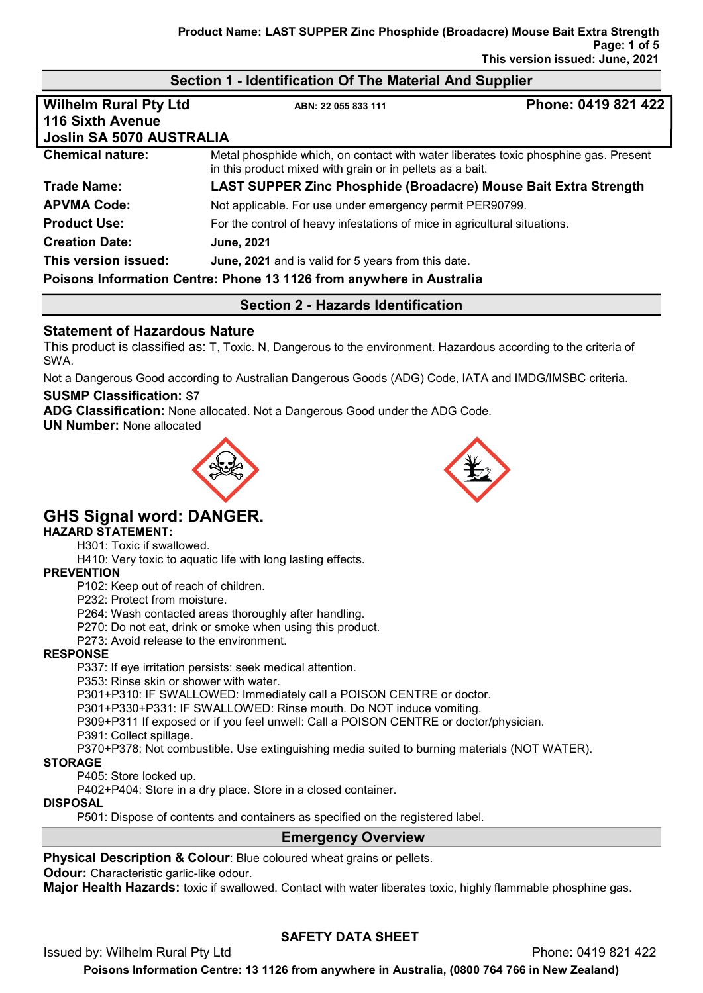## Section 1 - Identification Of The Material And Supplier Wilhelm Rural Pty Ltd ABN: 22 055 833 111 Phone: 0419 821 422 116 Sixth Avenue Joslin SA 5070 AUSTRALIA **Chemical nature:** Metal phosphide which, on contact with water liberates toxic phosphine gas. Present in this product mixed with grain or in pellets as a bait. Trade Name: LAST SUPPER Zinc Phosphide (Broadacre) Mouse Bait Extra Strength APVMA Code: Not applicable. For use under emergency permit PER90799. **Product Use:** For the control of heavy infestations of mice in agricultural situations. Creation Date: June, 2021

This version issued: June, 2021 and is valid for 5 years from this date.

Poisons Information Centre: Phone 13 1126 from anywhere in Australia

#### Section 2 - Hazards Identification

#### Statement of Hazardous Nature

This product is classified as: T, Toxic. N, Dangerous to the environment. Hazardous according to the criteria of SWA.

Not a Dangerous Good according to Australian Dangerous Goods (ADG) Code, IATA and IMDG/IMSBC criteria.

#### SUSMP Classification: S7

ADG Classification: None allocated. Not a Dangerous Good under the ADG Code.

UN Number: None allocated





# GHS Signal word: DANGER.

## HAZARD STATEMENT:

H301: Toxic if swallowed.

H410: Very toxic to aquatic life with long lasting effects.

#### **PREVENTION**

P102: Keep out of reach of children.

P232: Protect from moisture.

P264: Wash contacted areas thoroughly after handling.

P270: Do not eat, drink or smoke when using this product.

P273: Avoid release to the environment.

#### RESPONSE

P337: If eye irritation persists: seek medical attention.

P353: Rinse skin or shower with water.

P301+P310: IF SWALLOWED: Immediately call a POISON CENTRE or doctor.

P301+P330+P331: IF SWALLOWED: Rinse mouth. Do NOT induce vomiting.

P309+P311 If exposed or if you feel unwell: Call a POISON CENTRE or doctor/physician.

P391: Collect spillage.

P370+P378: Not combustible. Use extinguishing media suited to burning materials (NOT WATER).

#### **STORAGE**

P405: Store locked up.

P402+P404: Store in a dry place. Store in a closed container.

#### DISPOSAL

P501: Dispose of contents and containers as specified on the registered label.

#### Emergency Overview

#### Physical Description & Colour: Blue coloured wheat grains or pellets.

**Odour:** Characteristic garlic-like odour.

**Major Health Hazards:** toxic if swallowed. Contact with water liberates toxic, highly flammable phosphine gas.

## SAFETY DATA SHEET

Issued by: Wilhelm Rural Pty Ltd Phone: 0419 821 422

Poisons Information Centre: 13 1126 from anywhere in Australia, (0800 764 766 in New Zealand)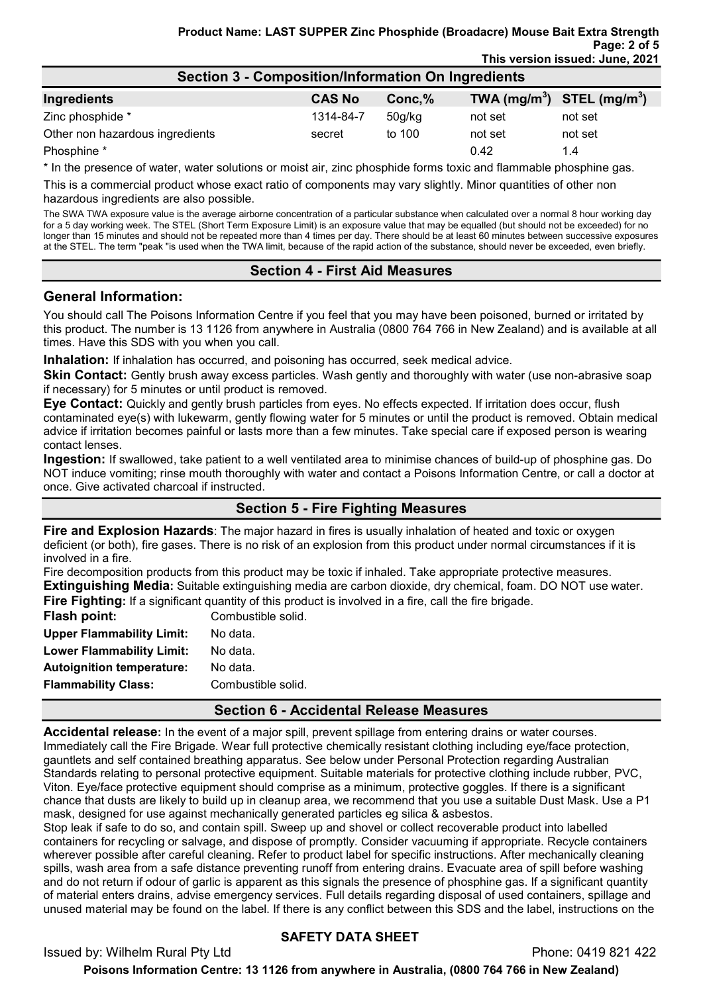| <b>Section 3 - Composition/Information On Ingredients</b> |               |           |                                |         |
|-----------------------------------------------------------|---------------|-----------|--------------------------------|---------|
| Ingredients                                               | <b>CAS No</b> | $Conc1$ % | TWA $(mg/m^3)$ STEL $(mg/m^3)$ |         |
| Zinc phosphide *                                          | 1314-84-7     | 50q/kg    | not set                        | not set |
| Other non hazardous ingredients                           | secret        | to 100    | not set                        | not set |
| Phosphine *                                               |               |           | 0.42                           | 1.4     |

\* In the presence of water, water solutions or moist air, zinc phosphide forms toxic and flammable phosphine gas.

This is a commercial product whose exact ratio of components may vary slightly. Minor quantities of other non hazardous ingredients are also possible.

The SWA TWA exposure value is the average airborne concentration of a particular substance when calculated over a normal 8 hour working day for a 5 day working week. The STEL (Short Term Exposure Limit) is an exposure value that may be equalled (but should not be exceeded) for no longer than 15 minutes and should not be repeated more than 4 times per day. There should be at least 60 minutes between successive exposures at the STEL. The term "peak "is used when the TWA limit, because of the rapid action of the substance, should never be exceeded, even briefly.

#### Section 4 - First Aid Measures

#### General Information:

You should call The Poisons Information Centre if you feel that you may have been poisoned, burned or irritated by this product. The number is 13 1126 from anywhere in Australia (0800 764 766 in New Zealand) and is available at all times. Have this SDS with you when you call.

Inhalation: If inhalation has occurred, and poisoning has occurred, seek medical advice.

Skin Contact: Gently brush away excess particles. Wash gently and thoroughly with water (use non-abrasive soap if necessary) for 5 minutes or until product is removed.

Eye Contact: Quickly and gently brush particles from eyes. No effects expected. If irritation does occur, flush contaminated eye(s) with lukewarm, gently flowing water for 5 minutes or until the product is removed. Obtain medical advice if irritation becomes painful or lasts more than a few minutes. Take special care if exposed person is wearing contact lenses.

Ingestion: If swallowed, take patient to a well ventilated area to minimise chances of build-up of phosphine gas. Do NOT induce vomiting; rinse mouth thoroughly with water and contact a Poisons Information Centre, or call a doctor at once. Give activated charcoal if instructed.

#### Section 5 - Fire Fighting Measures

**Fire and Explosion Hazards**: The major hazard in fires is usually inhalation of heated and toxic or oxygen deficient (or both), fire gases. There is no risk of an explosion from this product under normal circumstances if it is involved in a fire.

Fire decomposition products from this product may be toxic if inhaled. Take appropriate protective measures. Extinguishing Media: Suitable extinguishing media are carbon dioxide, dry chemical, foam. DO NOT use water. Fire Fighting: If a significant quantity of this product is involved in a fire, call the fire brigade.

| Flash point:                     | Combustible solid. |
|----------------------------------|--------------------|
| <b>Upper Flammability Limit:</b> | No data.           |
| <b>Lower Flammability Limit:</b> | No data.           |
| <b>Autoignition temperature:</b> | No data.           |
| <b>Flammability Class:</b>       | Combustible solid. |
|                                  |                    |

#### Section 6 - Accidental Release Measures

Accidental release: In the event of a major spill, prevent spillage from entering drains or water courses. Immediately call the Fire Brigade. Wear full protective chemically resistant clothing including eye/face protection, gauntlets and self contained breathing apparatus. See below under Personal Protection regarding Australian Standards relating to personal protective equipment. Suitable materials for protective clothing include rubber, PVC, Viton. Eye/face protective equipment should comprise as a minimum, protective goggles. If there is a significant chance that dusts are likely to build up in cleanup area, we recommend that you use a suitable Dust Mask. Use a P1 mask, designed for use against mechanically generated particles eg silica & asbestos.

Stop leak if safe to do so, and contain spill. Sweep up and shovel or collect recoverable product into labelled containers for recycling or salvage, and dispose of promptly. Consider vacuuming if appropriate. Recycle containers wherever possible after careful cleaning. Refer to product label for specific instructions. After mechanically cleaning spills, wash area from a safe distance preventing runoff from entering drains. Evacuate area of spill before washing and do not return if odour of garlic is apparent as this signals the presence of phosphine gas. If a significant quantity of material enters drains, advise emergency services. Full details regarding disposal of used containers, spillage and unused material may be found on the label. If there is any conflict between this SDS and the label, instructions on the

#### SAFETY DATA SHEET

Issued by: Wilhelm Rural Pty Ltd Phone: 0419 821 422 Poisons Information Centre: 13 1126 from anywhere in Australia, (0800 764 766 in New Zealand)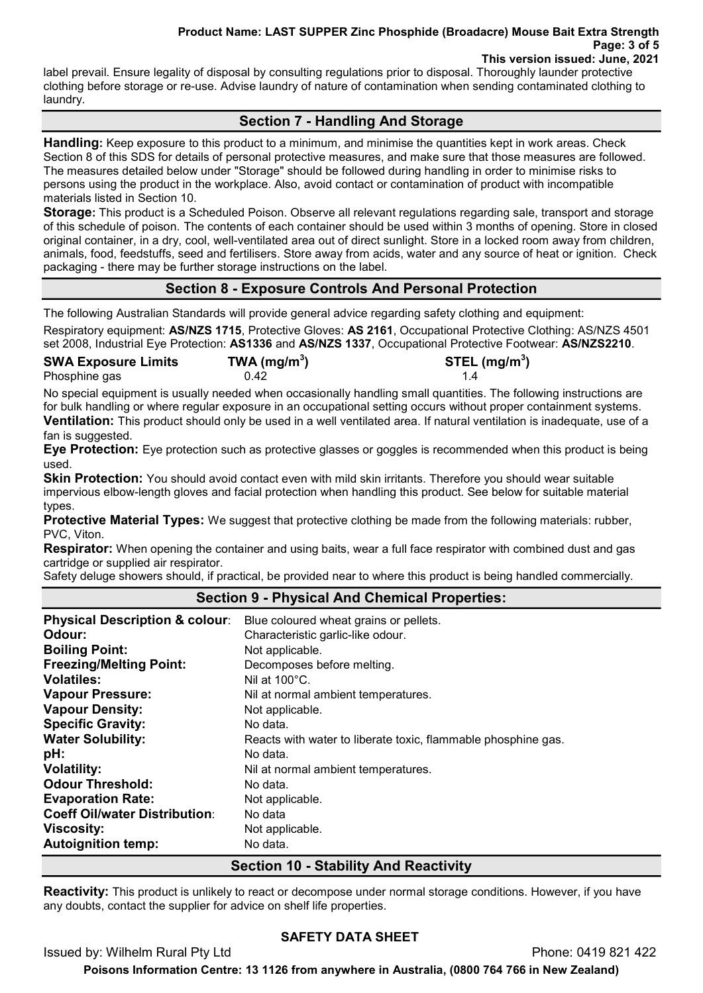#### Product Name: LAST SUPPER Zinc Phosphide (Broadacre) Mouse Bait Extra Strength Page: 3 of 5 This version issued: June, 2021

label prevail. Ensure legality of disposal by consulting regulations prior to disposal. Thoroughly launder protective clothing before storage or re-use. Advise laundry of nature of contamination when sending contaminated clothing to laundry.

## Section 7 - Handling And Storage

Handling: Keep exposure to this product to a minimum, and minimise the quantities kept in work areas. Check Section 8 of this SDS for details of personal protective measures, and make sure that those measures are followed. The measures detailed below under "Storage" should be followed during handling in order to minimise risks to persons using the product in the workplace. Also, avoid contact or contamination of product with incompatible materials listed in Section 10.

Storage: This product is a Scheduled Poison. Observe all relevant regulations regarding sale, transport and storage of this schedule of poison. The contents of each container should be used within 3 months of opening. Store in closed original container, in a dry, cool, well-ventilated area out of direct sunlight. Store in a locked room away from children, animals, food, feedstuffs, seed and fertilisers. Store away from acids, water and any source of heat or ignition. Check packaging - there may be further storage instructions on the label.

## Section 8 - Exposure Controls And Personal Protection

The following Australian Standards will provide general advice regarding safety clothing and equipment:

Respiratory equipment: AS/NZS 1715, Protective Gloves: AS 2161, Occupational Protective Clothing: AS/NZS 4501 set 2008, Industrial Eye Protection: AS1336 and AS/NZS 1337, Occupational Protective Footwear: AS/NZS2210.

| <b>SWA Exposure Limits</b> | TWA (mg/m <sup>3</sup> ) | STEL (mg/m <sup>3</sup> ) |
|----------------------------|--------------------------|---------------------------|
| Phosphine gas              | 0.42                     |                           |

No special equipment is usually needed when occasionally handling small quantities. The following instructions are for bulk handling or where regular exposure in an occupational setting occurs without proper containment systems. Ventilation: This product should only be used in a well ventilated area. If natural ventilation is inadequate, use of a fan is suggested.

**Eye Protection:** Eye protection such as protective glasses or goggles is recommended when this product is being used.

**Skin Protection:** You should avoid contact even with mild skin irritants. Therefore you should wear suitable impervious elbow-length gloves and facial protection when handling this product. See below for suitable material types.

**Protective Material Types:** We suggest that protective clothing be made from the following materials: rubber, PVC, Viton.

**Respirator:** When opening the container and using baits, wear a full face respirator with combined dust and gas cartridge or supplied air respirator.

Safety deluge showers should, if practical, be provided near to where this product is being handled commercially.

## Section 9 - Physical And Chemical Properties:

| <b>Physical Description &amp; colour:</b> | Blue coloured wheat grains or pellets.                        |
|-------------------------------------------|---------------------------------------------------------------|
| Odour:                                    | Characteristic garlic-like odour.                             |
| <b>Boiling Point:</b>                     | Not applicable.                                               |
| <b>Freezing/Melting Point:</b>            | Decomposes before melting.                                    |
| <b>Volatiles:</b>                         | Nil at $100^{\circ}$ C.                                       |
| <b>Vapour Pressure:</b>                   | Nil at normal ambient temperatures.                           |
| <b>Vapour Density:</b>                    | Not applicable.                                               |
| <b>Specific Gravity:</b>                  | No data.                                                      |
| <b>Water Solubility:</b>                  | Reacts with water to liberate toxic, flammable phosphine gas. |
| pH:                                       | No data.                                                      |
| <b>Volatility:</b>                        | Nil at normal ambient temperatures.                           |
| <b>Odour Threshold:</b>                   | No data.                                                      |
| <b>Evaporation Rate:</b>                  | Not applicable.                                               |
| <b>Coeff Oil/water Distribution:</b>      | No data                                                       |
| <b>Viscosity:</b>                         | Not applicable.                                               |
| <b>Autoignition temp:</b>                 | No data.                                                      |

## Section 10 - Stability And Reactivity

Reactivity: This product is unlikely to react or decompose under normal storage conditions. However, if you have any doubts, contact the supplier for advice on shelf life properties.

## SAFETY DATA SHEET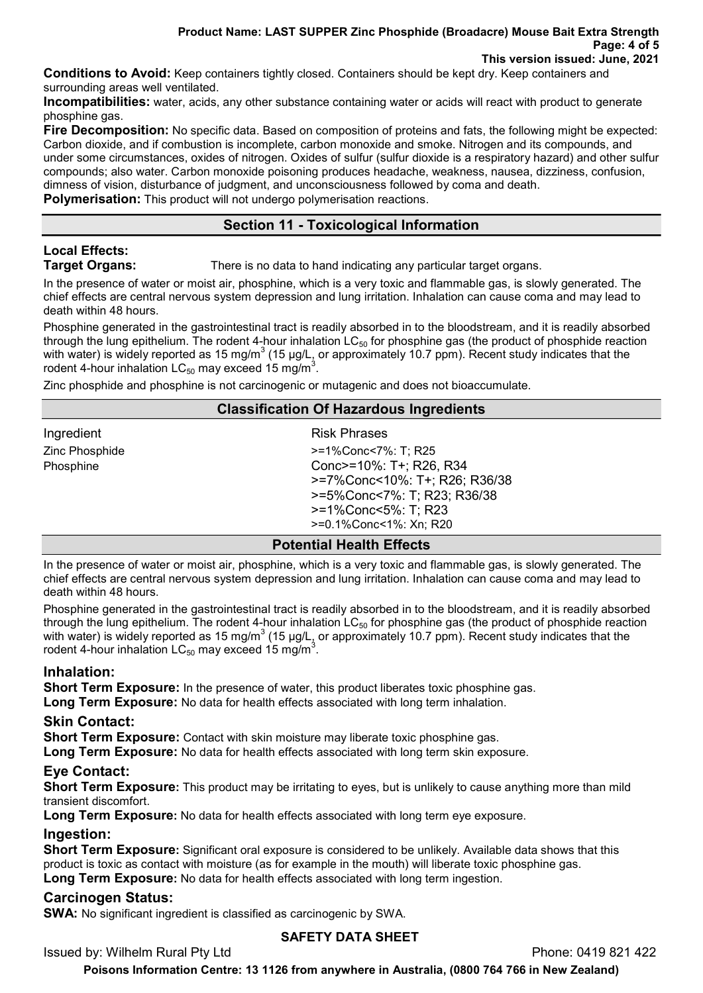Conditions to Avoid: Keep containers tightly closed. Containers should be kept dry. Keep containers and surrounding areas well ventilated.

Incompatibilities: water, acids, any other substance containing water or acids will react with product to generate phosphine gas.

Fire Decomposition: No specific data. Based on composition of proteins and fats, the following might be expected: Carbon dioxide, and if combustion is incomplete, carbon monoxide and smoke. Nitrogen and its compounds, and under some circumstances, oxides of nitrogen. Oxides of sulfur (sulfur dioxide is a respiratory hazard) and other sulfur compounds; also water. Carbon monoxide poisoning produces headache, weakness, nausea, dizziness, confusion, dimness of vision, disturbance of judgment, and unconsciousness followed by coma and death. Polymerisation: This product will not undergo polymerisation reactions.

## Section 11 - Toxicological Information

# Local Effects:

**Target Organs:** There is no data to hand indicating any particular target organs.

In the presence of water or moist air, phosphine, which is a very toxic and flammable gas, is slowly generated. The chief effects are central nervous system depression and lung irritation. Inhalation can cause coma and may lead to death within 48 hours.

Phosphine generated in the gastrointestinal tract is readily absorbed in to the bloodstream, and it is readily absorbed through the lung epithelium. The rodent 4-hour inhalation  $LC_{50}$  for phosphine gas (the product of phosphide reaction with water) is widely reported as 15 mg/m $^3$  (15 µg/L, or approximately 10.7 ppm). Recent study indicates that the rodent 4-hour inhalation LC $_{50}$  may exceed 15 mg/m $^3$ .

Zinc phosphide and phosphine is not carcinogenic or mutagenic and does not bioaccumulate.

#### Classification Of Hazardous Ingredients

| Ingredient     |  |
|----------------|--|
| Zinc Phosphide |  |
| Phosphine      |  |

**Risk Phrases** >=1%Conc<7%: T; R25 Conc $\ge$ =10%: T+; R26, R34 >=7%Conc<10%: T+; R26; R36/38 >=5%Conc<7%: T; R23; R36/38 >=1%Conc<5%: T; R23 >=0.1%Conc<1%: Xn; R20

## Potential Health Effects

In the presence of water or moist air, phosphine, which is a very toxic and flammable gas, is slowly generated. The chief effects are central nervous system depression and lung irritation. Inhalation can cause coma and may lead to death within 48 hours.

Phosphine generated in the gastrointestinal tract is readily absorbed in to the bloodstream, and it is readily absorbed through the lung epithelium. The rodent 4-hour inhalation  $LC_{50}$  for phosphine gas (the product of phosphide reaction with water) is widely reported as 15 mg/m $^3$  (15 µg/L, or approximately 10.7 ppm). Recent study indicates that the rodent 4-hour inhalation LC $_{50}$  may exceed 15 mg/m $^3$ .

## Inhalation:

Short Term Exposure: In the presence of water, this product liberates toxic phosphine gas. Long Term Exposure: No data for health effects associated with long term inhalation.

## Skin Contact:

**Short Term Exposure:** Contact with skin moisture may liberate toxic phosphine gas.

Long Term Exposure: No data for health effects associated with long term skin exposure.

## Eye Contact:

Short Term Exposure: This product may be irritating to eyes, but is unlikely to cause anything more than mild transient discomfort.

Long Term Exposure: No data for health effects associated with long term eye exposure.

## Ingestion:

**Short Term Exposure:** Significant oral exposure is considered to be unlikely. Available data shows that this product is toxic as contact with moisture (as for example in the mouth) will liberate toxic phosphine gas. Long Term Exposure: No data for health effects associated with long term ingestion.

## Carcinogen Status:

SWA: No significant ingredient is classified as carcinogenic by SWA.

## SAFETY DATA SHEET

Issued by: Wilhelm Rural Pty Ltd **Phone: 0419 821 422** 

Poisons Information Centre: 13 1126 from anywhere in Australia, (0800 764 766 in New Zealand)